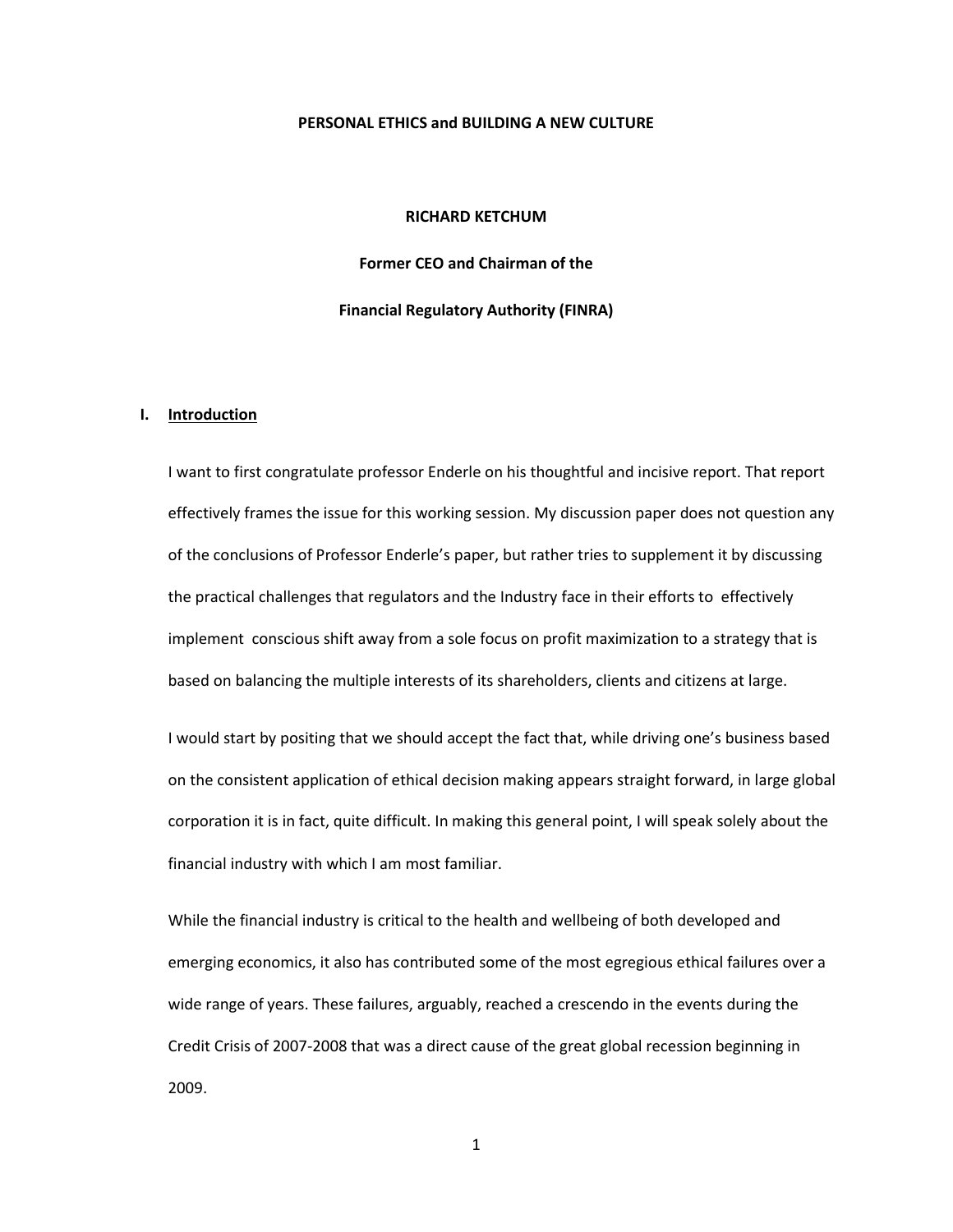#### **PERSONAL ETHICS and BUILDING A NEW CULTURE**

### **RICHARD KETCHUM**

**Former CEO and Chairman of the**

**Financial Regulatory Authority (FINRA)**

#### **I. Introduction**

I want to first congratulate professor Enderle on his thoughtful and incisive report. That report effectively frames the issue for this working session. My discussion paper does not question any of the conclusions of Professor Enderle's paper, but rather tries to supplement it by discussing the practical challenges that regulators and the Industry face in their efforts to effectively implement conscious shift away from a sole focus on profit maximization to a strategy that is based on balancing the multiple interests of its shareholders, clients and citizens at large.

I would start by positing that we should accept the fact that, while driving one's business based on the consistent application of ethical decision making appears straight forward, in large global corporation it is in fact, quite difficult. In making this general point, I will speak solely about the financial industry with which I am most familiar.

While the financial industry is critical to the health and wellbeing of both developed and emerging economics, it also has contributed some of the most egregious ethical failures over a wide range of years. These failures, arguably, reached a crescendo in the events during the Credit Crisis of 2007-2008 that was a direct cause of the great global recession beginning in 2009.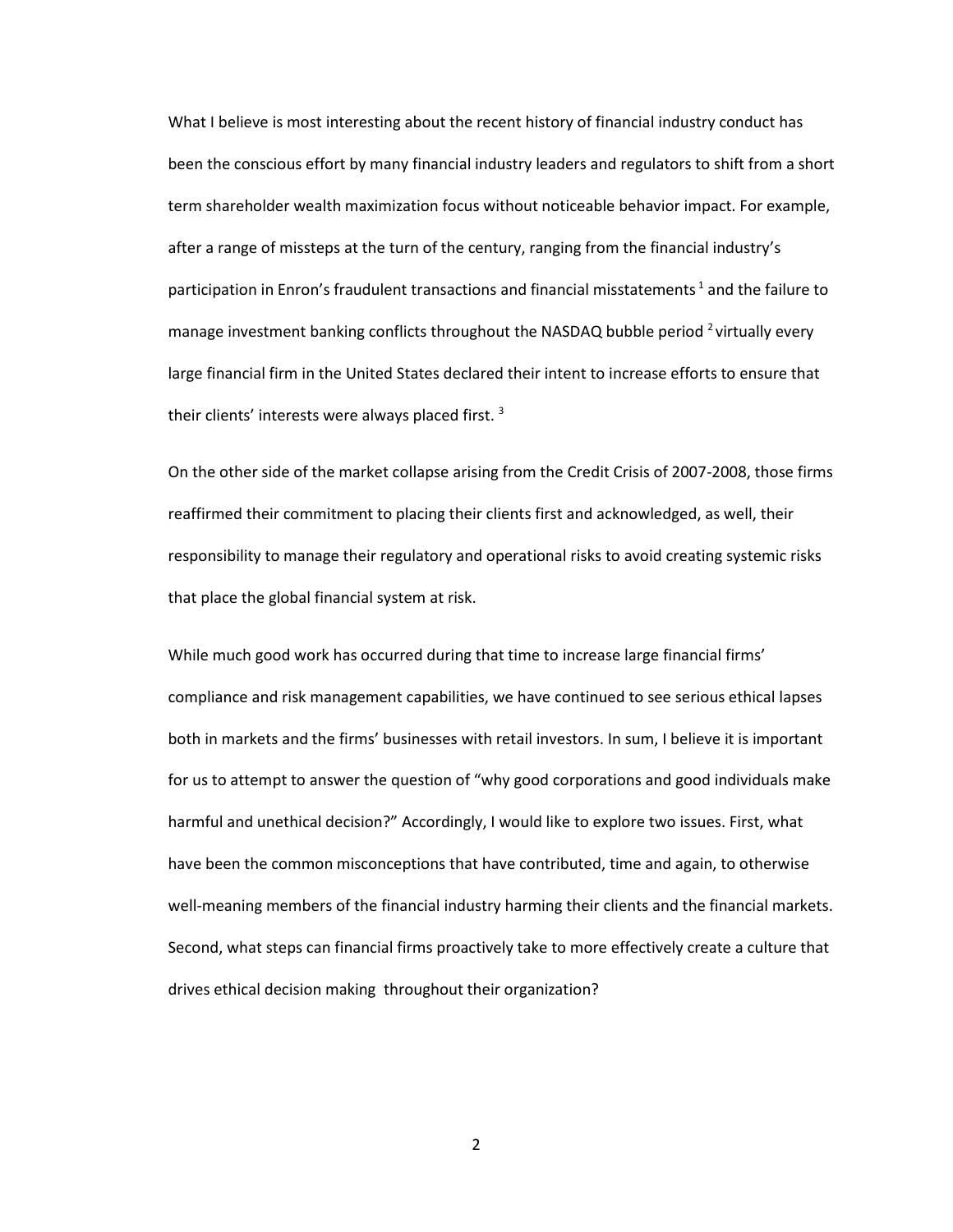What I believe is most interesting about the recent history of financial industry conduct has been the conscious effort by many financial industry leaders and regulators to shift from a short term shareholder wealth maximization focus without noticeable behavior impact. For example, after a range of missteps at the turn of the century, ranging from the financial industry's participation in Enron's fraudulent transactions and financial misstatements<sup>1</sup> and the failure to manage investment banking conflicts throughout the NASDAQ bubble period <sup>2</sup> virtually every large financial firm in the United States declared their intent to increase efforts to ensure that their clients' interests were always placed first.<sup>3</sup>

On the other side of the market collapse arising from the Credit Crisis of 2007-2008, those firms reaffirmed their commitment to placing their clients first and acknowledged, as well, their responsibility to manage their regulatory and operational risks to avoid creating systemic risks that place the global financial system at risk.

While much good work has occurred during that time to increase large financial firms' compliance and risk management capabilities, we have continued to see serious ethical lapses both in markets and the firms' businesses with retail investors. In sum, I believe it is important for us to attempt to answer the question of "why good corporations and good individuals make harmful and unethical decision?" Accordingly, I would like to explore two issues. First, what have been the common misconceptions that have contributed, time and again, to otherwise well-meaning members of the financial industry harming their clients and the financial markets. Second, what steps can financial firms proactively take to more effectively create a culture that drives ethical decision making throughout their organization?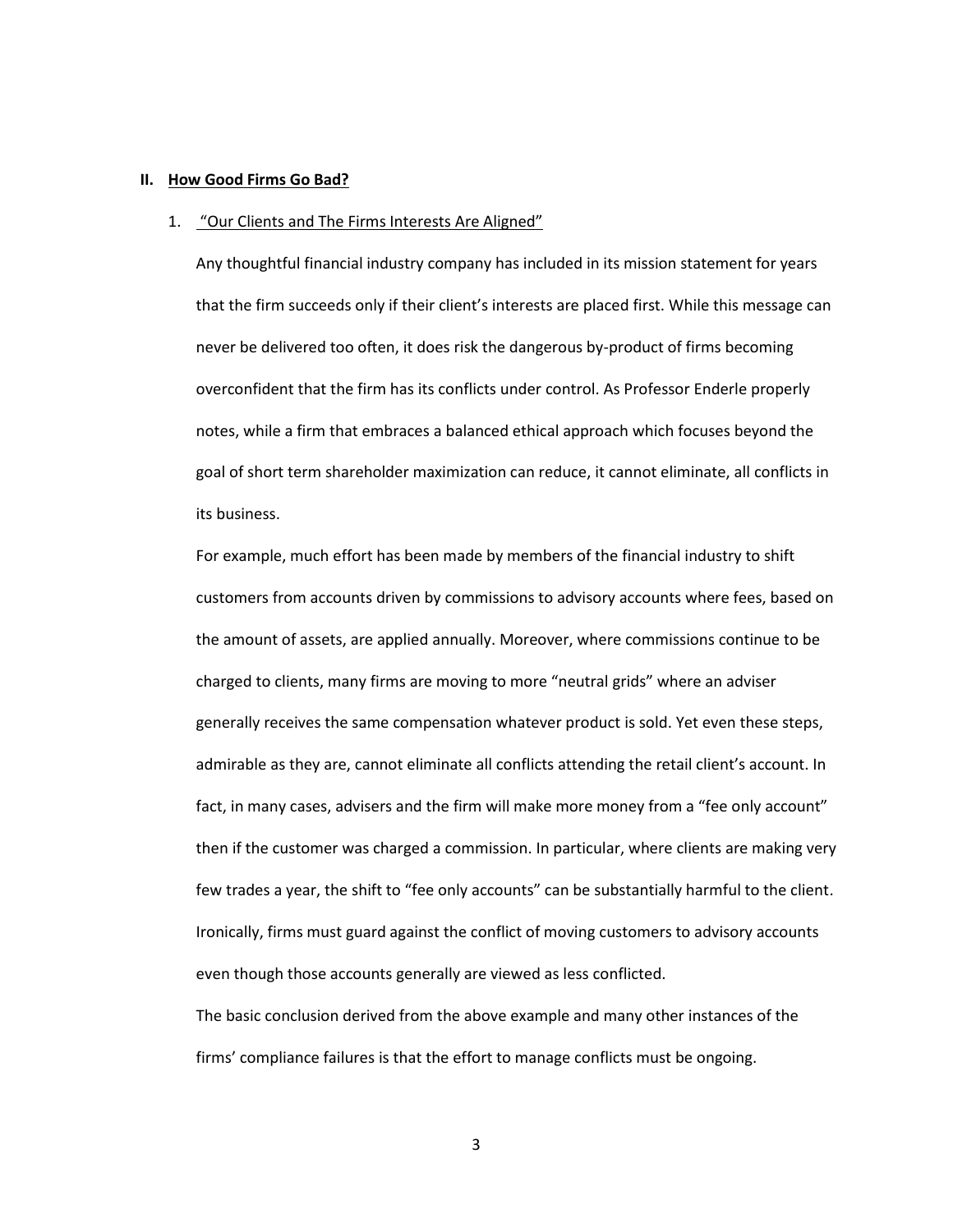## **II. How Good Firms Go Bad?**

## 1. "Our Clients and The Firms Interests Are Aligned"

Any thoughtful financial industry company has included in its mission statement for years that the firm succeeds only if their client's interests are placed first. While this message can never be delivered too often, it does risk the dangerous by-product of firms becoming overconfident that the firm has its conflicts under control. As Professor Enderle properly notes, while a firm that embraces a balanced ethical approach which focuses beyond the goal of short term shareholder maximization can reduce, it cannot eliminate, all conflicts in its business.

For example, much effort has been made by members of the financial industry to shift customers from accounts driven by commissions to advisory accounts where fees, based on the amount of assets, are applied annually. Moreover, where commissions continue to be charged to clients, many firms are moving to more "neutral grids" where an adviser generally receives the same compensation whatever product is sold. Yet even these steps, admirable as they are, cannot eliminate all conflicts attending the retail client's account. In fact, in many cases, advisers and the firm will make more money from a "fee only account" then if the customer was charged a commission. In particular, where clients are making very few trades a year, the shift to "fee only accounts" can be substantially harmful to the client. Ironically, firms must guard against the conflict of moving customers to advisory accounts even though those accounts generally are viewed as less conflicted.

The basic conclusion derived from the above example and many other instances of the firms' compliance failures is that the effort to manage conflicts must be ongoing.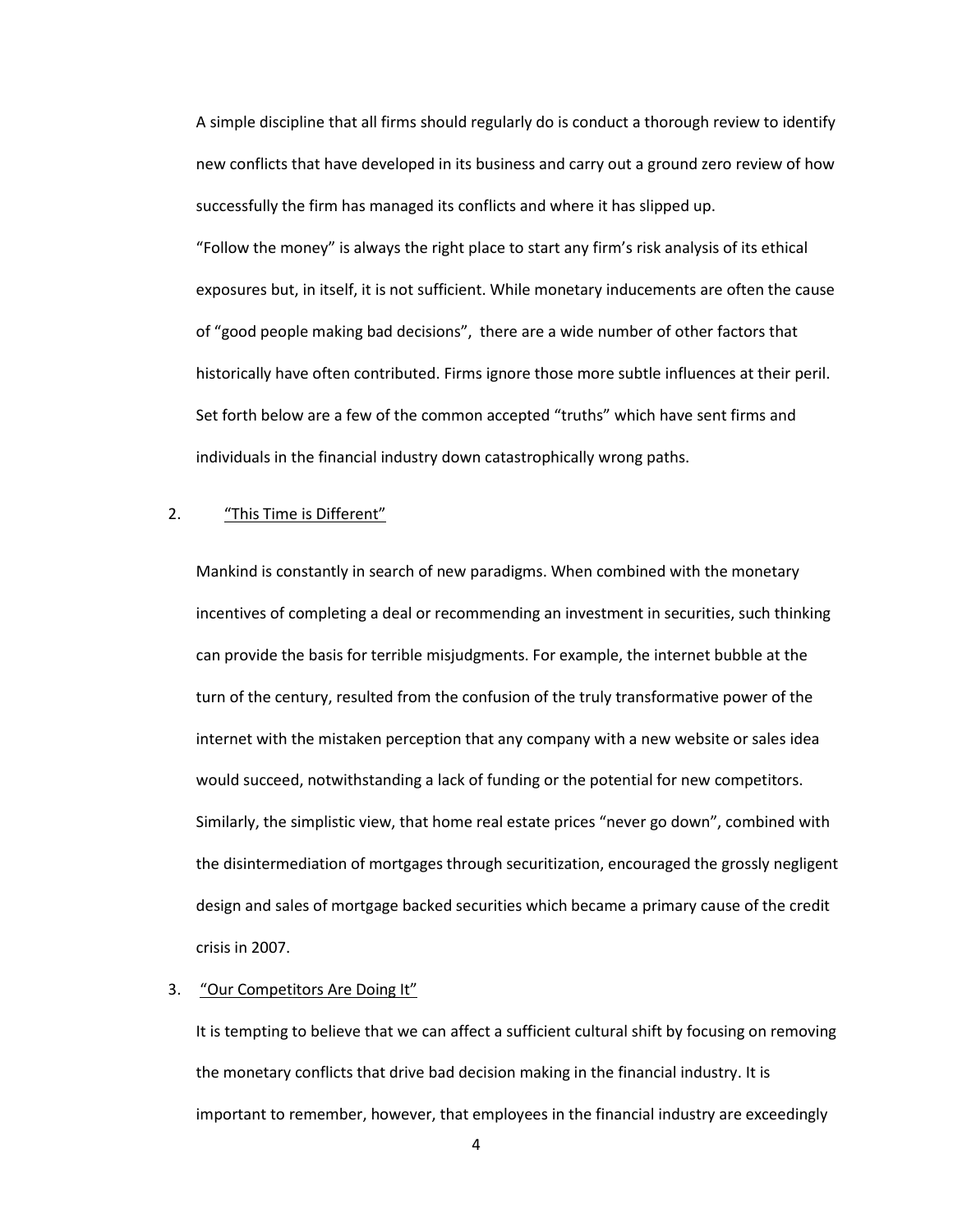A simple discipline that all firms should regularly do is conduct a thorough review to identify new conflicts that have developed in its business and carry out a ground zero review of how successfully the firm has managed its conflicts and where it has slipped up. "Follow the money" is always the right place to start any firm's risk analysis of its ethical exposures but, in itself, it is not sufficient. While monetary inducements are often the cause of "good people making bad decisions", there are a wide number of other factors that historically have often contributed. Firms ignore those more subtle influences at their peril. Set forth below are a few of the common accepted "truths" which have sent firms and individuals in the financial industry down catastrophically wrong paths.

# 2. "This Time is Different"

Mankind is constantly in search of new paradigms. When combined with the monetary incentives of completing a deal or recommending an investment in securities, such thinking can provide the basis for terrible misjudgments. For example, the internet bubble at the turn of the century, resulted from the confusion of the truly transformative power of the internet with the mistaken perception that any company with a new website or sales idea would succeed, notwithstanding a lack of funding or the potential for new competitors. Similarly, the simplistic view, that home real estate prices "never go down", combined with the disintermediation of mortgages through securitization, encouraged the grossly negligent design and sales of mortgage backed securities which became a primary cause of the credit crisis in 2007.

## 3. "Our Competitors Are Doing It"

It is tempting to believe that we can affect a sufficient cultural shift by focusing on removing the monetary conflicts that drive bad decision making in the financial industry. It is important to remember, however, that employees in the financial industry are exceedingly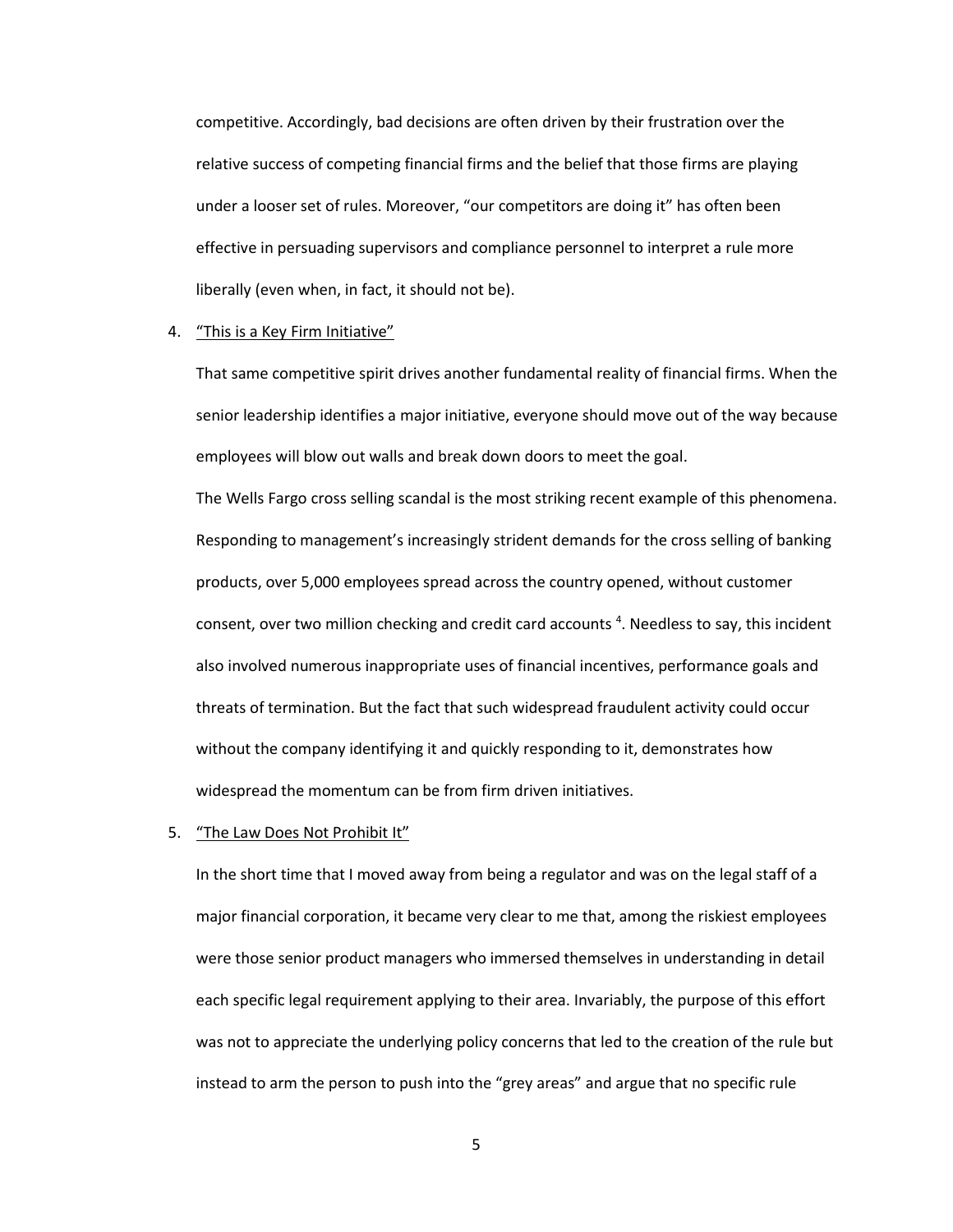competitive. Accordingly, bad decisions are often driven by their frustration over the relative success of competing financial firms and the belief that those firms are playing under a looser set of rules. Moreover, "our competitors are doing it" has often been effective in persuading supervisors and compliance personnel to interpret a rule more liberally (even when, in fact, it should not be).

## 4. "This is a Key Firm Initiative"

That same competitive spirit drives another fundamental reality of financial firms. When the senior leadership identifies a major initiative, everyone should move out of the way because employees will blow out walls and break down doors to meet the goal.

The Wells Fargo cross selling scandal is the most striking recent example of this phenomena. Responding to management's increasingly strident demands for the cross selling of banking products, over 5,000 employees spread across the country opened, without customer consent, over two million checking and credit card accounts<sup>4</sup>. Needless to say, this incident also involved numerous inappropriate uses of financial incentives, performance goals and threats of termination. But the fact that such widespread fraudulent activity could occur without the company identifying it and quickly responding to it, demonstrates how widespread the momentum can be from firm driven initiatives.

5. "The Law Does Not Prohibit It"

In the short time that I moved away from being a regulator and was on the legal staff of a major financial corporation, it became very clear to me that, among the riskiest employees were those senior product managers who immersed themselves in understanding in detail each specific legal requirement applying to their area. Invariably, the purpose of this effort was not to appreciate the underlying policy concerns that led to the creation of the rule but instead to arm the person to push into the "grey areas" and argue that no specific rule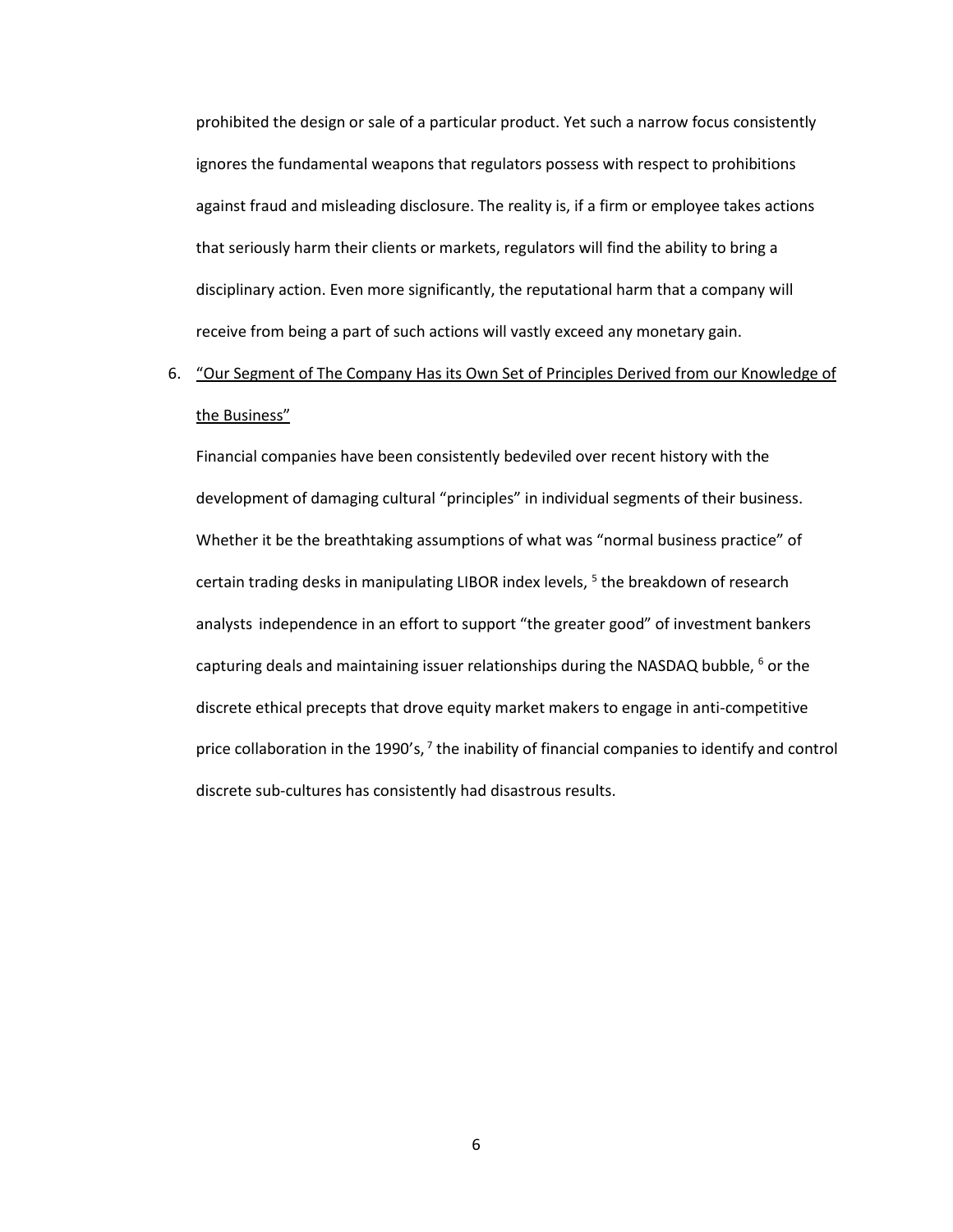prohibited the design or sale of a particular product. Yet such a narrow focus consistently ignores the fundamental weapons that regulators possess with respect to prohibitions against fraud and misleading disclosure. The reality is, if a firm or employee takes actions that seriously harm their clients or markets, regulators will find the ability to bring a disciplinary action. Even more significantly, the reputational harm that a company will receive from being a part of such actions will vastly exceed any monetary gain.

# 6. "Our Segment of The Company Has its Own Set of Principles Derived from our Knowledge of the Business"

Financial companies have been consistently bedeviled over recent history with the development of damaging cultural "principles" in individual segments of their business. Whether it be the breathtaking assumptions of what was "normal business practice" of certain trading desks in manipulating LIBOR index levels, <sup>5</sup> the breakdown of research analysts independence in an effort to support "the greater good" of investment bankers capturing deals and maintaining issuer relationships during the NASDAQ bubble,  $6$  or the discrete ethical precepts that drove equity market makers to engage in anti-competitive price collaboration in the 1990's,  $7$  the inability of financial companies to identify and control discrete sub-cultures has consistently had disastrous results.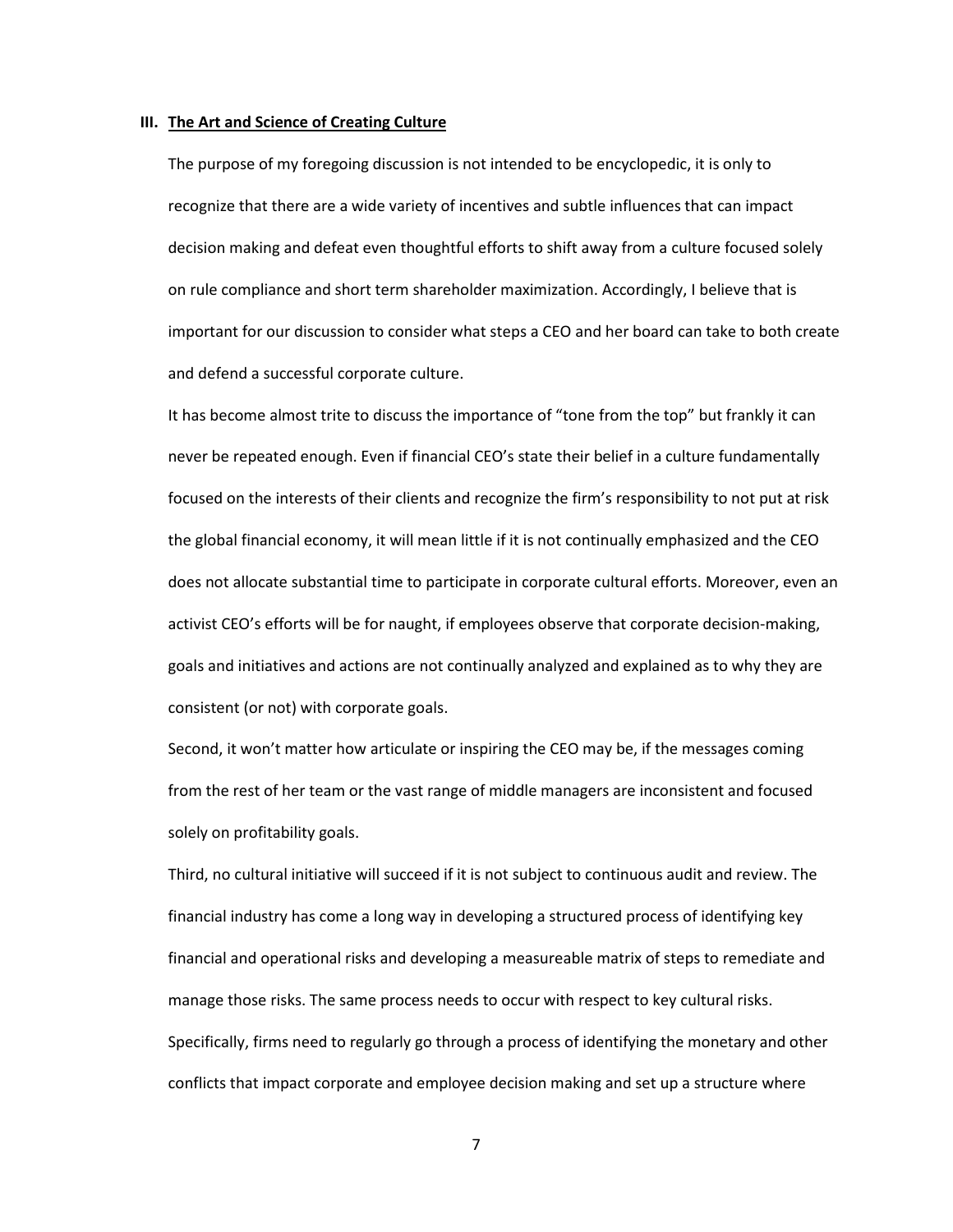#### **III. The Art and Science of Creating Culture**

The purpose of my foregoing discussion is not intended to be encyclopedic, it is only to recognize that there are a wide variety of incentives and subtle influences that can impact decision making and defeat even thoughtful efforts to shift away from a culture focused solely on rule compliance and short term shareholder maximization. Accordingly, I believe that is important for our discussion to consider what steps a CEO and her board can take to both create and defend a successful corporate culture.

It has become almost trite to discuss the importance of "tone from the top" but frankly it can never be repeated enough. Even if financial CEO's state their belief in a culture fundamentally focused on the interests of their clients and recognize the firm's responsibility to not put at risk the global financial economy, it will mean little if it is not continually emphasized and the CEO does not allocate substantial time to participate in corporate cultural efforts. Moreover, even an activist CEO's efforts will be for naught, if employees observe that corporate decision-making, goals and initiatives and actions are not continually analyzed and explained as to why they are consistent (or not) with corporate goals.

Second, it won't matter how articulate or inspiring the CEO may be, if the messages coming from the rest of her team or the vast range of middle managers are inconsistent and focused solely on profitability goals.

Third, no cultural initiative will succeed if it is not subject to continuous audit and review. The financial industry has come a long way in developing a structured process of identifying key financial and operational risks and developing a measureable matrix of steps to remediate and manage those risks. The same process needs to occur with respect to key cultural risks. Specifically, firms need to regularly go through a process of identifying the monetary and other conflicts that impact corporate and employee decision making and set up a structure where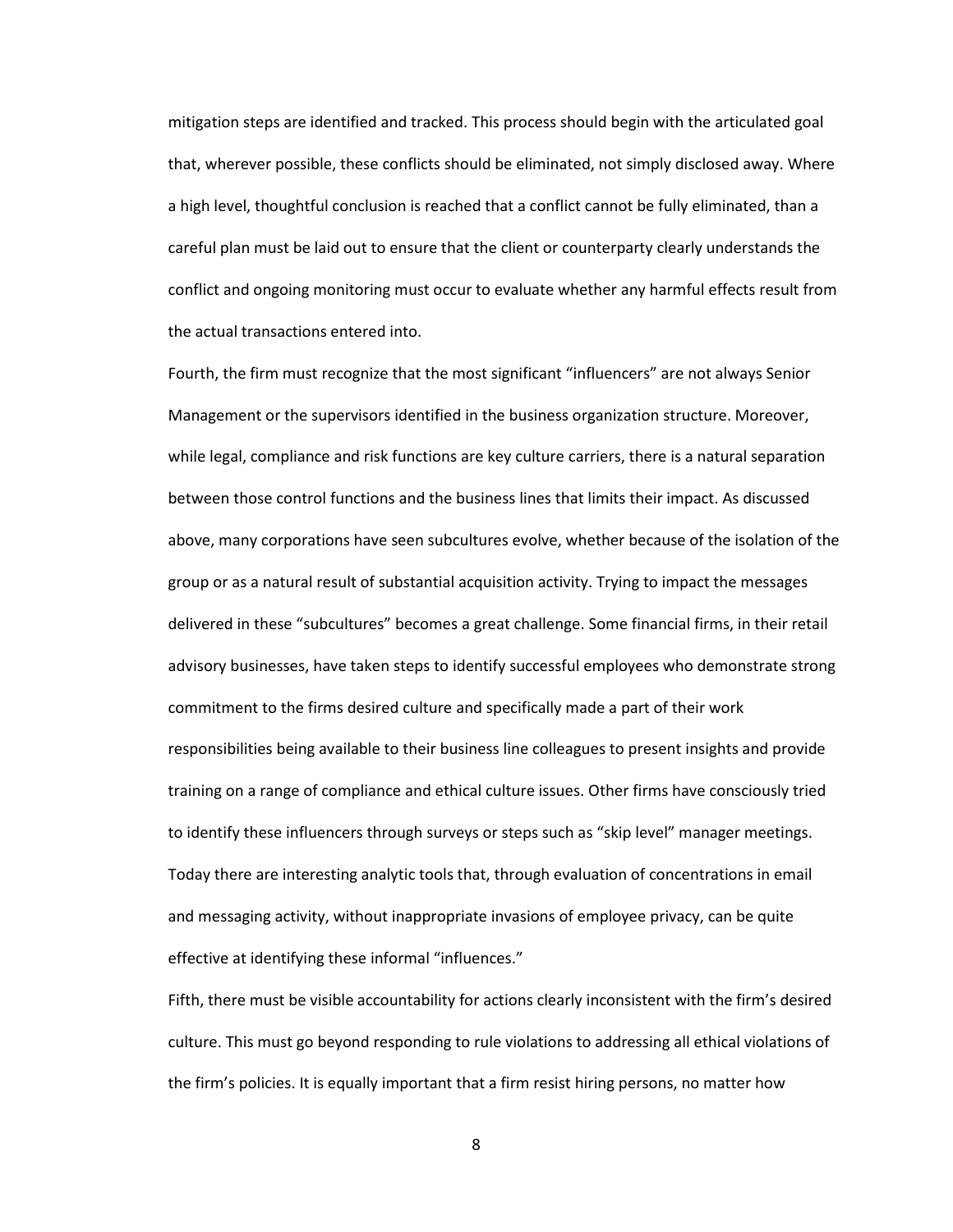mitigation steps are identified and tracked. This process should begin with the articulated goal that, wherever possible, these conflicts should be eliminated, not simply disclosed away. Where a high level, thoughtful conclusion is reached that a conflict cannot be fully eliminated, than a careful plan must be laid out to ensure that the client or counterparty clearly understands the conflict and ongoing monitoring must occur to evaluate whether any harmful effects result from the actual transactions entered into.

Fourth, the firm must recognize that the most significant "influencers" are not always Senior Management or the supervisors identified in the business organization structure. Moreover, while legal, compliance and risk functions are key culture carriers, there is a natural separation between those control functions and the business lines that limits their impact. As discussed above, many corporations have seen subcultures evolve, whether because of the isolation of the group or as a natural result of substantial acquisition activity. Trying to impact the messages delivered in these "subcultures" becomes a great challenge. Some financial firms, in their retail advisory businesses, have taken steps to identify successful employees who demonstrate strong commitment to the firms desired culture and specifically made a part of their work responsibilities being available to their business line colleagues to present insights and provide training on a range of compliance and ethical culture issues. Other firms have consciously tried to identify these influencers through surveys or steps such as "skip level" manager meetings. Today there are interesting analytic tools that, through evaluation of concentrations in email and messaging activity, without inappropriate invasions of employee privacy, can be quite effective at identifying these informal "influences."

Fifth, there must be visible accountability for actions clearly inconsistent with the firm's desired culture. This must go beyond responding to rule violations to addressing all ethical violations of the firm's policies. It is equally important that a firm resist hiring persons, no matter how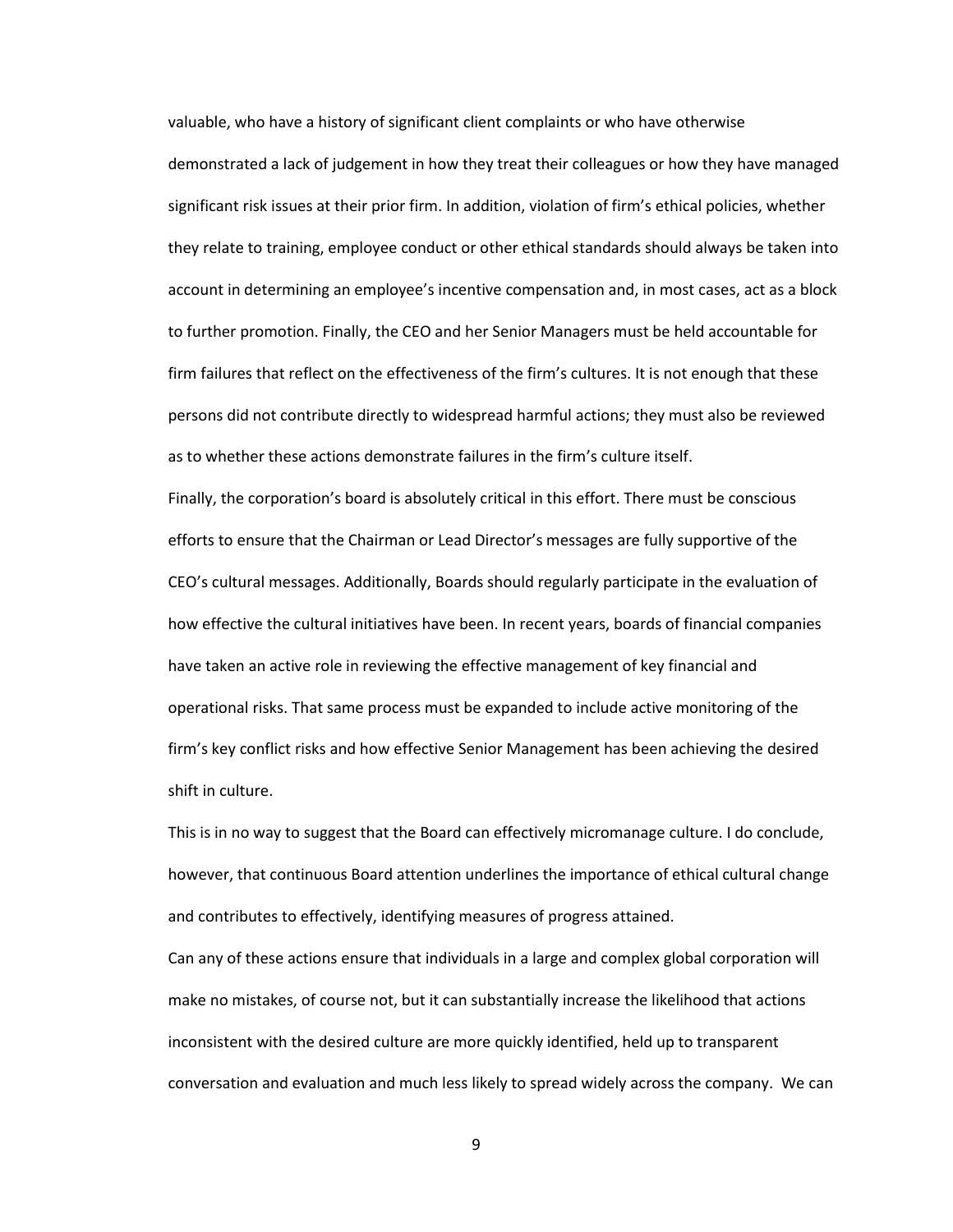valuable, who have a history of significant client complaints or who have otherwise demonstrated a lack of judgement in how they treat their colleagues or how they have managed significant risk issues at their prior firm. In addition, violation of firm's ethical policies, whether they relate to training, employee conduct or other ethical standards should always be taken into account in determining an employee's incentive compensation and, in most cases, act as a block to further promotion. Finally, the CEO and her Senior Managers must be held accountable for firm failures that reflect on the effectiveness of the firm's cultures. It is not enough that these persons did not contribute directly to widespread harmful actions; they must also be reviewed as to whether these actions demonstrate failures in the firm's culture itself.

Finally, the corporation's board is absolutely critical in this effort. There must be conscious efforts to ensure that the Chairman or Lead Director's messages are fully supportive of the CEO's cultural messages. Additionally, Boards should regularly participate in the evaluation of how effective the cultural initiatives have been. In recent years, boards of financial companies have taken an active role in reviewing the effective management of key financial and operational risks. That same process must be expanded to include active monitoring of the firm's key conflict risks and how effective Senior Management has been achieving the desired shift in culture.

This is in no way to suggest that the Board can effectively micromanage culture. I do conclude, however, that continuous Board attention underlines the importance of ethical cultural change and contributes to effectively, identifying measures of progress attained.

Can any of these actions ensure that individuals in a large and complex global corporation will make no mistakes, of course not, but it can substantially increase the likelihood that actions inconsistent with the desired culture are more quickly identified, held up to transparent conversation and evaluation and much less likely to spread widely across the company. We can